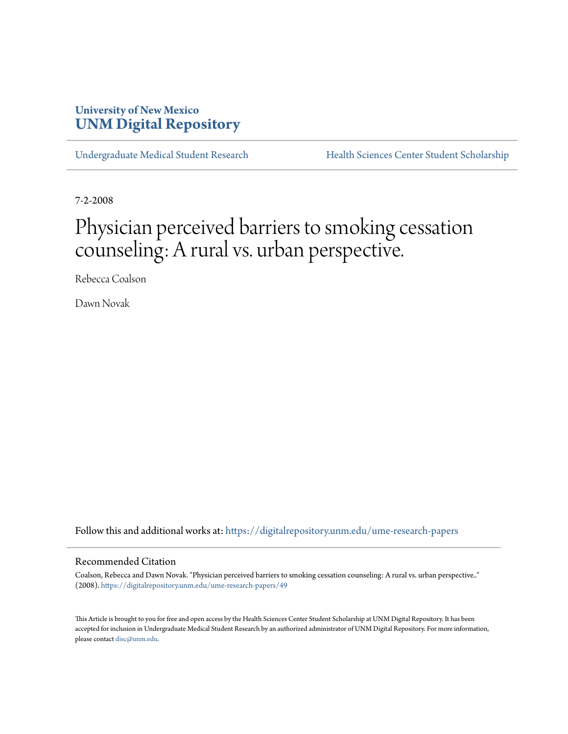# **University of New Mexico [UNM Digital Repository](https://digitalrepository.unm.edu?utm_source=digitalrepository.unm.edu%2Fume-research-papers%2F49&utm_medium=PDF&utm_campaign=PDFCoverPages)**

[Undergraduate Medical Student Research](https://digitalrepository.unm.edu/ume-research-papers?utm_source=digitalrepository.unm.edu%2Fume-research-papers%2F49&utm_medium=PDF&utm_campaign=PDFCoverPages) [Health Sciences Center Student Scholarship](https://digitalrepository.unm.edu/hsc-students?utm_source=digitalrepository.unm.edu%2Fume-research-papers%2F49&utm_medium=PDF&utm_campaign=PDFCoverPages)

7-2-2008

# Physician perceived barriers to smoking cessation counseling: A rural vs. urban perspective.

Rebecca Coalson

Dawn Novak

Follow this and additional works at: [https://digitalrepository.unm.edu/ume-research-papers](https://digitalrepository.unm.edu/ume-research-papers?utm_source=digitalrepository.unm.edu%2Fume-research-papers%2F49&utm_medium=PDF&utm_campaign=PDFCoverPages)

#### Recommended Citation

Coalson, Rebecca and Dawn Novak. "Physician perceived barriers to smoking cessation counseling: A rural vs. urban perspective.." (2008). [https://digitalrepository.unm.edu/ume-research-papers/49](https://digitalrepository.unm.edu/ume-research-papers/49?utm_source=digitalrepository.unm.edu%2Fume-research-papers%2F49&utm_medium=PDF&utm_campaign=PDFCoverPages)

This Article is brought to you for free and open access by the Health Sciences Center Student Scholarship at UNM Digital Repository. It has been accepted for inclusion in Undergraduate Medical Student Research by an authorized administrator of UNM Digital Repository. For more information, please contact [disc@unm.edu.](mailto:disc@unm.edu)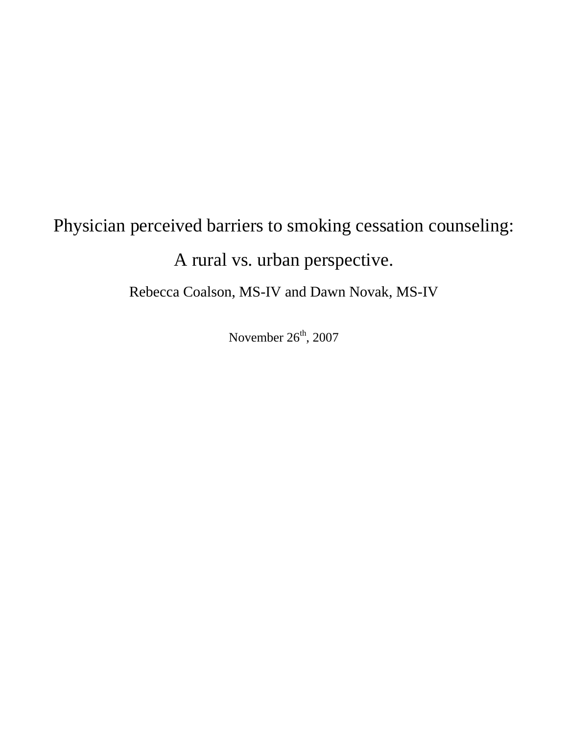# Physician perceived barriers to smoking cessation counseling:

# A rural vs. urban perspective.

Rebecca Coalson, MS-IV and Dawn Novak, MS-IV

November  $26<sup>th</sup>$ , 2007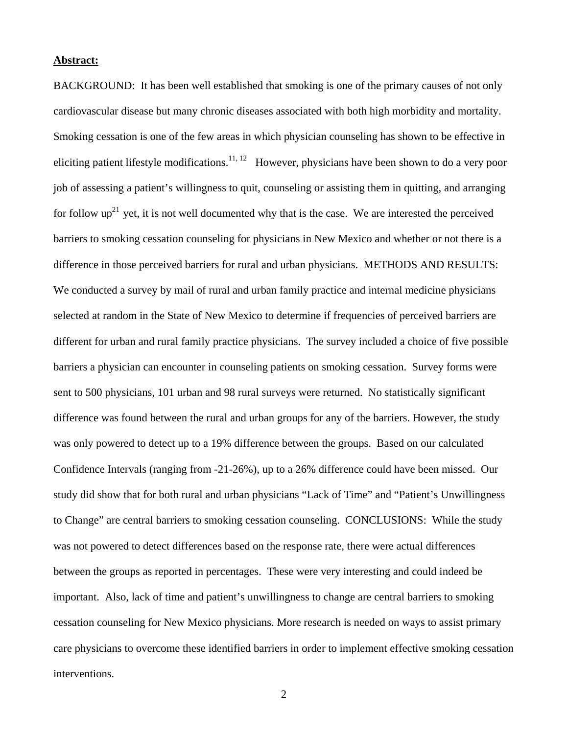#### **Abstract:**

BACKGROUND: It has been well established that smoking is one of the primary causes of not only cardiovascular disease but many chronic diseases associated with both high morbidity and mortality. Smoking cessation is one of the few areas in which physician counseling has shown to be effective in eliciting patient lifestyle modifications.<sup>11, 12</sup> However, physicians have been shown to do a very poor job of assessing a patient's willingness to quit, counseling or assisting them in quitting, and arranging for follow  $up^{21}$  yet, it is not well documented why that is the case. We are interested the perceived barriers to smoking cessation counseling for physicians in New Mexico and whether or not there is a difference in those perceived barriers for rural and urban physicians. METHODS AND RESULTS: We conducted a survey by mail of rural and urban family practice and internal medicine physicians selected at random in the State of New Mexico to determine if frequencies of perceived barriers are different for urban and rural family practice physicians. The survey included a choice of five possible barriers a physician can encounter in counseling patients on smoking cessation. Survey forms were sent to 500 physicians, 101 urban and 98 rural surveys were returned. No statistically significant difference was found between the rural and urban groups for any of the barriers. However, the study was only powered to detect up to a 19% difference between the groups. Based on our calculated Confidence Intervals (ranging from -21-26%), up to a 26% difference could have been missed. Our study did show that for both rural and urban physicians "Lack of Time" and "Patient's Unwillingness to Change" are central barriers to smoking cessation counseling. CONCLUSIONS: While the study was not powered to detect differences based on the response rate, there were actual differences between the groups as reported in percentages. These were very interesting and could indeed be important. Also, lack of time and patient's unwillingness to change are central barriers to smoking cessation counseling for New Mexico physicians. More research is needed on ways to assist primary care physicians to overcome these identified barriers in order to implement effective smoking cessation interventions.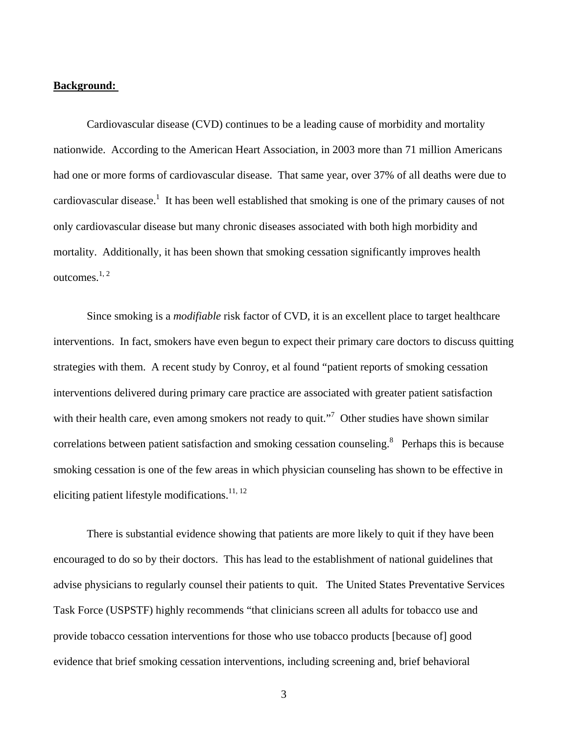#### **Background:**

Cardiovascular disease (CVD) continues to be a leading cause of morbidity and mortality nationwide. According to the American Heart Association, in 2003 more than 71 million Americans had one or more forms of cardiovascular disease. That same year, over 37% of all deaths were due to cardiovascular disease.<sup>1</sup> It has been well established that smoking is one of the primary causes of not only cardiovascular disease but many chronic diseases associated with both high morbidity and mortality. Additionally, it has been shown that smoking cessation significantly improves health outcomes.1, 2

Since smoking is a *modifiable* risk factor of CVD, it is an excellent place to target healthcare interventions. In fact, smokers have even begun to expect their primary care doctors to discuss quitting strategies with them. A recent study by Conroy, et al found "patient reports of smoking cessation interventions delivered during primary care practice are associated with greater patient satisfaction with their health care, even among smokers not ready to quit."<sup>7</sup> Other studies have shown similar correlations between patient satisfaction and smoking cessation counseling.<sup>8</sup> Perhaps this is because smoking cessation is one of the few areas in which physician counseling has shown to be effective in eliciting patient lifestyle modifications.<sup>11, 12</sup>

There is substantial evidence showing that patients are more likely to quit if they have been encouraged to do so by their doctors. This has lead to the establishment of national guidelines that advise physicians to regularly counsel their patients to quit. The United States Preventative Services Task Force (USPSTF) highly recommends "that clinicians screen all adults for tobacco use and provide tobacco cessation interventions for those who use tobacco products [because of] good evidence that brief smoking cessation interventions, including screening and, brief behavioral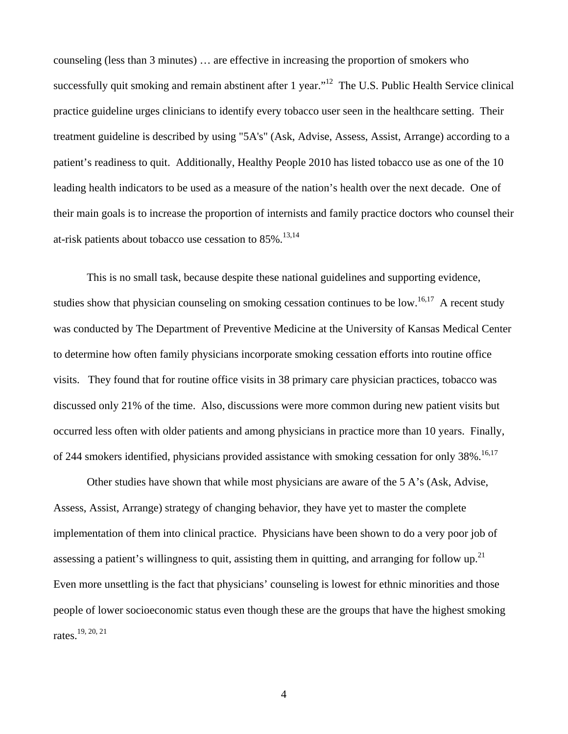counseling (less than 3 minutes) … are effective in increasing the proportion of smokers who successfully quit smoking and remain abstinent after 1 year."<sup>12</sup> The U.S. Public Health Service clinical practice guideline urges clinicians to identify every tobacco user seen in the healthcare setting. Their treatment guideline is described by using "5A's" (Ask, Advise, Assess, Assist, Arrange) according to a patient's readiness to quit. Additionally, Healthy People 2010 has listed tobacco use as one of the 10 leading health indicators to be used as a measure of the nation's health over the next decade. One of their main goals is to increase the proportion of internists and family practice doctors who counsel their at-risk patients about tobacco use cessation to  $85\%$ .<sup>13,14</sup>

This is no small task, because despite these national guidelines and supporting evidence, studies show that physician counseling on smoking cessation continues to be low.<sup>16,17</sup> A recent study was conducted by The Department of Preventive Medicine at the University of Kansas Medical Center to determine how often family physicians incorporate smoking cessation efforts into routine office visits. They found that for routine office visits in 38 primary care physician practices, tobacco was discussed only 21% of the time. Also, discussions were more common during new patient visits but occurred less often with older patients and among physicians in practice more than 10 years. Finally, of 244 smokers identified, physicians provided assistance with smoking cessation for only 38%.<sup>16,17</sup>

Other studies have shown that while most physicians are aware of the 5 A's (Ask, Advise, Assess, Assist, Arrange) strategy of changing behavior, they have yet to master the complete implementation of them into clinical practice. Physicians have been shown to do a very poor job of assessing a patient's willingness to quit, assisting them in quitting, and arranging for follow up.<sup>21</sup> Even more unsettling is the fact that physicians' counseling is lowest for ethnic minorities and those people of lower socioeconomic status even though these are the groups that have the highest smoking rates.19, 20, 21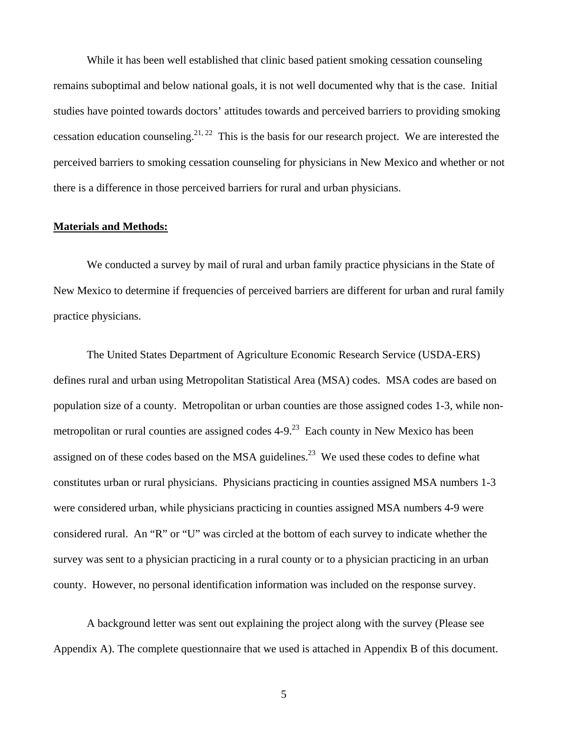While it has been well established that clinic based patient smoking cessation counseling remains suboptimal and below national goals, it is not well documented why that is the case. Initial studies have pointed towards doctors' attitudes towards and perceived barriers to providing smoking cessation education counseling.<sup>21, 22</sup> This is the basis for our research project. We are interested the perceived barriers to smoking cessation counseling for physicians in New Mexico and whether or not there is a difference in those perceived barriers for rural and urban physicians.

### **Materials and Methods:**

We conducted a survey by mail of rural and urban family practice physicians in the State of New Mexico to determine if frequencies of perceived barriers are different for urban and rural family practice physicians.

The United States Department of Agriculture Economic Research Service (USDA-ERS) defines rural and urban using Metropolitan Statistical Area (MSA) codes. MSA codes are based on population size of a county. Metropolitan or urban counties are those assigned codes 1-3, while nonmetropolitan or rural counties are assigned codes  $4-9<sup>23</sup>$  Each county in New Mexico has been assigned on of these codes based on the MSA guidelines.<sup>23</sup> We used these codes to define what constitutes urban or rural physicians. Physicians practicing in counties assigned MSA numbers 1-3 were considered urban, while physicians practicing in counties assigned MSA numbers 4-9 were considered rural. An "R" or "U" was circled at the bottom of each survey to indicate whether the survey was sent to a physician practicing in a rural county or to a physician practicing in an urban county. However, no personal identification information was included on the response survey.

A background letter was sent out explaining the project along with the survey (Please see Appendix A). The complete questionnaire that we used is attached in Appendix B of this document.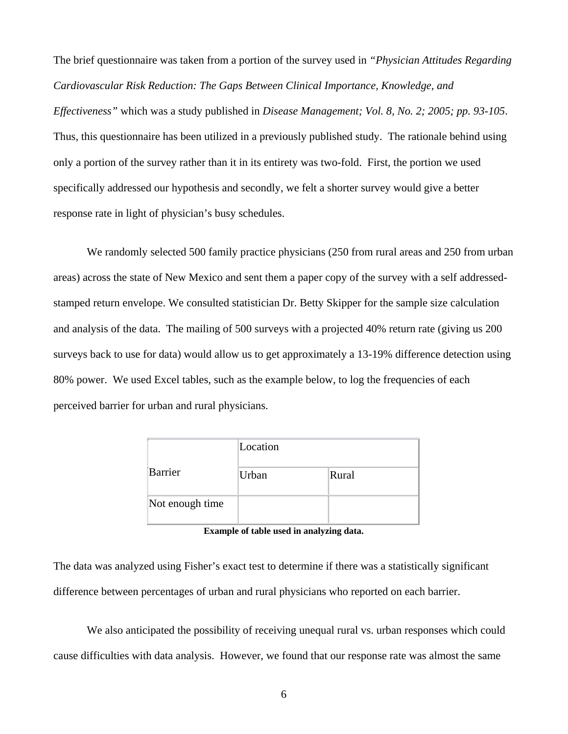The brief questionnaire was taken from a portion of the survey used in *"Physician Attitudes Regarding Cardiovascular Risk Reduction: The Gaps Between Clinical Importance, Knowledge, and Effectiveness"* which was a study published in *Disease Management; Vol. 8, No. 2; 2005; pp. 93-105*. Thus, this questionnaire has been utilized in a previously published study. The rationale behind using only a portion of the survey rather than it in its entirety was two-fold. First, the portion we used specifically addressed our hypothesis and secondly, we felt a shorter survey would give a better response rate in light of physician's busy schedules.

We randomly selected 500 family practice physicians (250 from rural areas and 250 from urban areas) across the state of New Mexico and sent them a paper copy of the survey with a self addressedstamped return envelope. We consulted statistician Dr. Betty Skipper for the sample size calculation and analysis of the data. The mailing of 500 surveys with a projected 40% return rate (giving us 200 surveys back to use for data) would allow us to get approximately a 13-19% difference detection using 80% power. We used Excel tables, such as the example below, to log the frequencies of each perceived barrier for urban and rural physicians.

|                 | Location |       |  |
|-----------------|----------|-------|--|
| Barrier         | Urban    | Rural |  |
| Not enough time |          |       |  |

**Example of table used in analyzing data.** 

The data was analyzed using Fisher's exact test to determine if there was a statistically significant difference between percentages of urban and rural physicians who reported on each barrier.

We also anticipated the possibility of receiving unequal rural vs. urban responses which could cause difficulties with data analysis. However, we found that our response rate was almost the same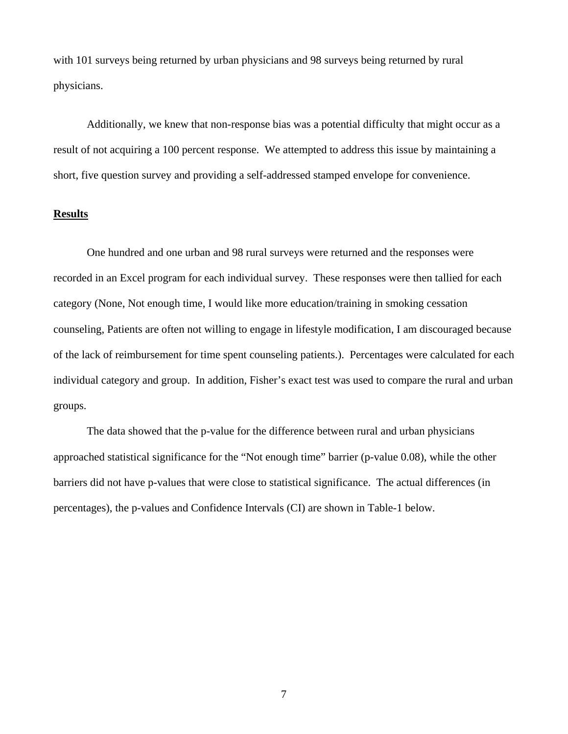with 101 surveys being returned by urban physicians and 98 surveys being returned by rural physicians.

Additionally, we knew that non-response bias was a potential difficulty that might occur as a result of not acquiring a 100 percent response. We attempted to address this issue by maintaining a short, five question survey and providing a self-addressed stamped envelope for convenience.

# **Results**

 One hundred and one urban and 98 rural surveys were returned and the responses were recorded in an Excel program for each individual survey. These responses were then tallied for each category (None, Not enough time, I would like more education/training in smoking cessation counseling, Patients are often not willing to engage in lifestyle modification, I am discouraged because of the lack of reimbursement for time spent counseling patients.). Percentages were calculated for each individual category and group. In addition, Fisher's exact test was used to compare the rural and urban groups.

 The data showed that the p-value for the difference between rural and urban physicians approached statistical significance for the "Not enough time" barrier (p-value 0.08), while the other barriers did not have p-values that were close to statistical significance. The actual differences (in percentages), the p-values and Confidence Intervals (CI) are shown in Table-1 below.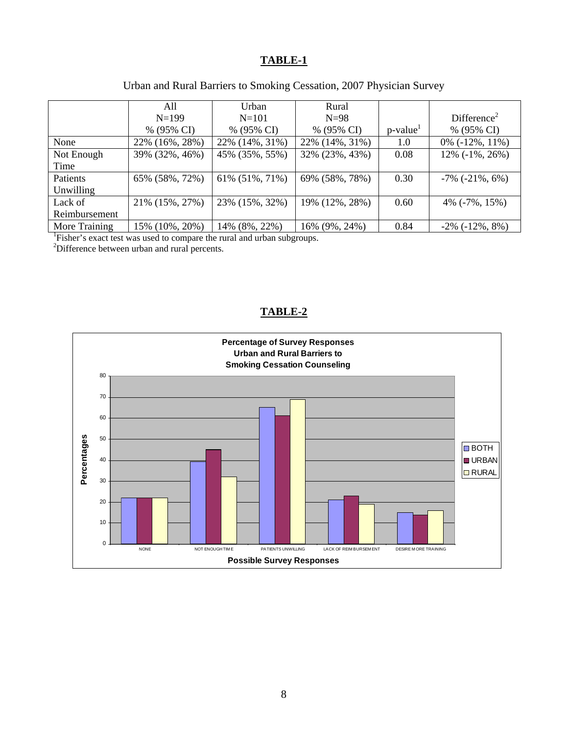# **TABLE-1**

| Urban and Rural Barriers to Smoking Cessation, 2007 Physician Survey |  |  |  |
|----------------------------------------------------------------------|--|--|--|
|                                                                      |  |  |  |

|                                                                            | All            | Urban          | Rural          |                         |                            |  |  |
|----------------------------------------------------------------------------|----------------|----------------|----------------|-------------------------|----------------------------|--|--|
|                                                                            | $N=199$        | $N = 101$      | $N=98$         |                         | Difference <sup>2</sup>    |  |  |
|                                                                            | % (95% CI)     | % (95% CI)     | % (95% CI)     | $p$ -value <sup>1</sup> | % (95% CI)                 |  |  |
| None                                                                       | 22% (16%, 28%) | 22% (14%, 31%) | 22% (14%, 31%) | 1.0                     | $0\%$ ( $-12\%$ , $11\%$ ) |  |  |
| Not Enough                                                                 | 39% (32%, 46%) | 45% (35%, 55%) | 32% (23%, 43%) | 0.08                    | $12\%$ ( $-1\%$ , $26\%$ ) |  |  |
| Time                                                                       |                |                |                |                         |                            |  |  |
| Patients                                                                   | 65% (58%, 72%) | 61% (51%, 71%) | 69% (58%, 78%) | 0.30                    | $-7\%$ ( $-21\%$ , 6%)     |  |  |
| Unwilling                                                                  |                |                |                |                         |                            |  |  |
| Lack of                                                                    | 21% (15%, 27%) | 23% (15%, 32%) | 19% (12%, 28%) | 0.60                    | 4% $(-7\%, 15\%)$          |  |  |
| Reimbursement                                                              |                |                |                |                         |                            |  |  |
| More Training                                                              | 15% (10%, 20%) | 14% (8%, 22%)  | 16% (9%, 24%)  | 0.84                    | $-2\%$ ( $-12\%$ , $8\%$ ) |  |  |
| <u>Eigher's exact toot was used to compare the must and when subgroups</u> |                |                |                |                         |                            |  |  |

Fisher's exact test was used to compare the rural and urban subgroups. 2 Difference between urban and rural percents.

# **TABLE-2**

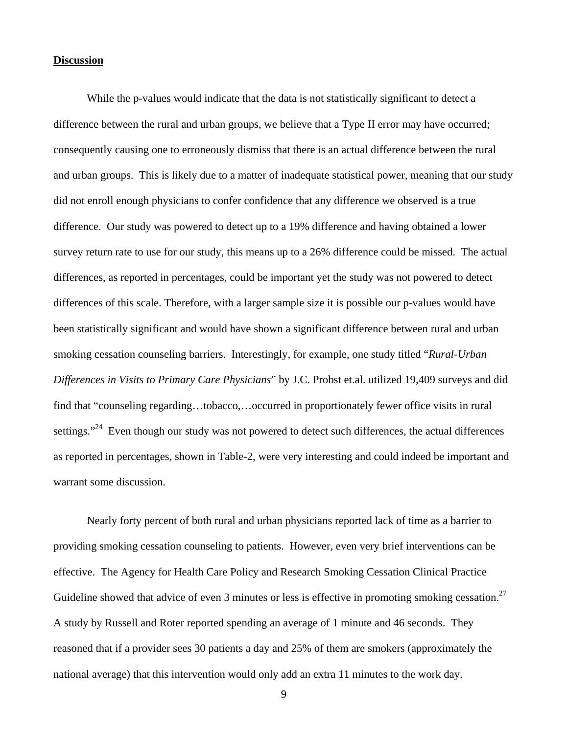#### **Discussion**

While the p-values would indicate that the data is not statistically significant to detect a difference between the rural and urban groups, we believe that a Type II error may have occurred; consequently causing one to erroneously dismiss that there is an actual difference between the rural and urban groups. This is likely due to a matter of inadequate statistical power, meaning that our study did not enroll enough physicians to confer confidence that any difference we observed is a true difference. Our study was powered to detect up to a 19% difference and having obtained a lower survey return rate to use for our study, this means up to a 26% difference could be missed. The actual differences, as reported in percentages, could be important yet the study was not powered to detect differences of this scale. Therefore, with a larger sample size it is possible our p-values would have been statistically significant and would have shown a significant difference between rural and urban smoking cessation counseling barriers. Interestingly, for example, one study titled "*Rural-Urban Differences in Visits to Primary Care Physicians*" by J.C. Probst et.al. utilized 19,409 surveys and did find that "counseling regarding…tobacco,…occurred in proportionately fewer office visits in rural settings."<sup>24</sup> Even though our study was not powered to detect such differences, the actual differences as reported in percentages, shown in Table-2, were very interesting and could indeed be important and warrant some discussion.

 Nearly forty percent of both rural and urban physicians reported lack of time as a barrier to providing smoking cessation counseling to patients. However, even very brief interventions can be effective. The Agency for Health Care Policy and Research Smoking Cessation Clinical Practice Guideline showed that advice of even 3 minutes or less is effective in promoting smoking cessation.<sup>27</sup> A study by Russell and Roter reported spending an average of 1 minute and 46 seconds. They reasoned that if a provider sees 30 patients a day and 25% of them are smokers (approximately the national average) that this intervention would only add an extra 11 minutes to the work day.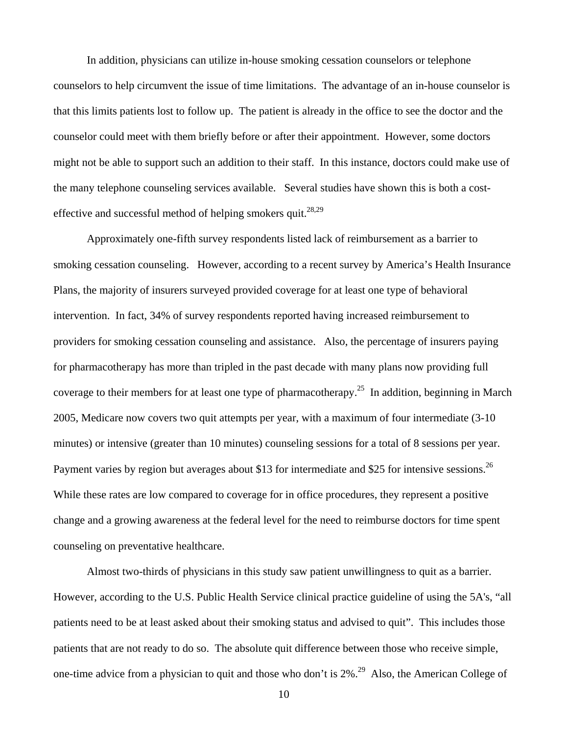In addition, physicians can utilize in-house smoking cessation counselors or telephone counselors to help circumvent the issue of time limitations. The advantage of an in-house counselor is that this limits patients lost to follow up. The patient is already in the office to see the doctor and the counselor could meet with them briefly before or after their appointment. However, some doctors might not be able to support such an addition to their staff. In this instance, doctors could make use of the many telephone counseling services available. Several studies have shown this is both a costeffective and successful method of helping smokers quit.<sup>28,29</sup>

Approximately one-fifth survey respondents listed lack of reimbursement as a barrier to smoking cessation counseling. However, according to a recent survey by America's Health Insurance Plans, the majority of insurers surveyed provided coverage for at least one type of behavioral intervention. In fact, 34% of survey respondents reported having increased reimbursement to providers for smoking cessation counseling and assistance. Also, the percentage of insurers paying for pharmacotherapy has more than tripled in the past decade with many plans now providing full coverage to their members for at least one type of pharmacotherapy.<sup>25</sup> In addition, beginning in March 2005, Medicare now covers two quit attempts per year, with a maximum of four intermediate (3-10 minutes) or intensive (greater than 10 minutes) counseling sessions for a total of 8 sessions per year. Payment varies by region but averages about \$13 for intermediate and \$25 for intensive sessions.<sup>26</sup> While these rates are low compared to coverage for in office procedures, they represent a positive change and a growing awareness at the federal level for the need to reimburse doctors for time spent counseling on preventative healthcare.

Almost two-thirds of physicians in this study saw patient unwillingness to quit as a barrier. However, according to the U.S. Public Health Service clinical practice guideline of using the 5A's, "all patients need to be at least asked about their smoking status and advised to quit". This includes those patients that are not ready to do so. The absolute quit difference between those who receive simple, one-time advice from a physician to quit and those who don't is  $2\%$ <sup>29</sup> Also, the American College of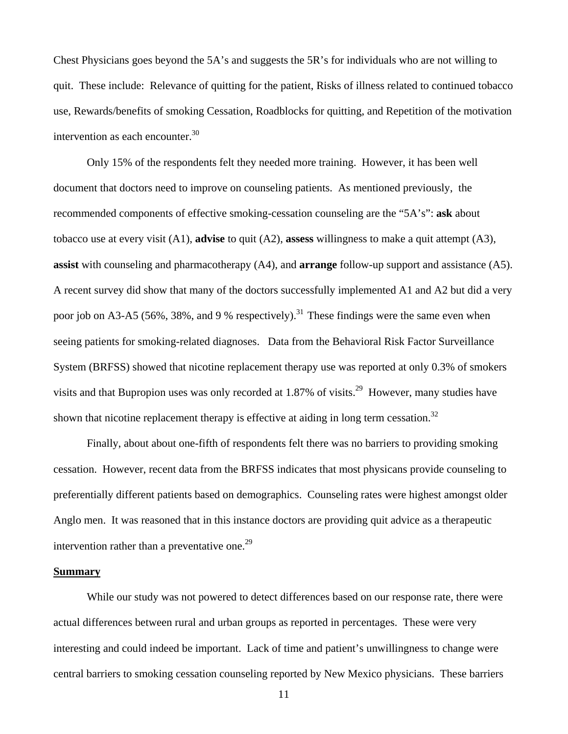Chest Physicians goes beyond the 5A's and suggests the 5R's for individuals who are not willing to quit. These include: Relevance of quitting for the patient, Risks of illness related to continued tobacco use, Rewards/benefits of smoking Cessation, Roadblocks for quitting, and Repetition of the motivation intervention as each encounter. $30$ 

Only 15% of the respondents felt they needed more training. However, it has been well document that doctors need to improve on counseling patients. As mentioned previously, the recommended components of effective smoking-cessation counseling are the "5A's": **ask** about tobacco use at every visit (A1), **advise** to quit (A2), **assess** willingness to make a quit attempt (A3), **assist** with counseling and pharmacotherapy (A4), and **arrange** follow-up support and assistance (A5). A recent survey did show that many of the doctors successfully implemented A1 and A2 but did a very poor job on A3-A5 (56%, 38%, and 9 % respectively).<sup>31</sup> These findings were the same even when seeing patients for smoking-related diagnoses. Data from the Behavioral Risk Factor Surveillance System (BRFSS) showed that nicotine replacement therapy use was reported at only 0.3% of smokers visits and that Bupropion uses was only recorded at  $1.87\%$  of visits.<sup>29</sup> However, many studies have shown that nicotine replacement therapy is effective at aiding in long term cessation.<sup>32</sup>

Finally, about about one-fifth of respondents felt there was no barriers to providing smoking cessation. However, recent data from the BRFSS indicates that most physicans provide counseling to preferentially different patients based on demographics. Counseling rates were highest amongst older Anglo men. It was reasoned that in this instance doctors are providing quit advice as a therapeutic intervention rather than a preventative one.<sup>29</sup>

#### **Summary**

 While our study was not powered to detect differences based on our response rate, there were actual differences between rural and urban groups as reported in percentages. These were very interesting and could indeed be important. Lack of time and patient's unwillingness to change were central barriers to smoking cessation counseling reported by New Mexico physicians. These barriers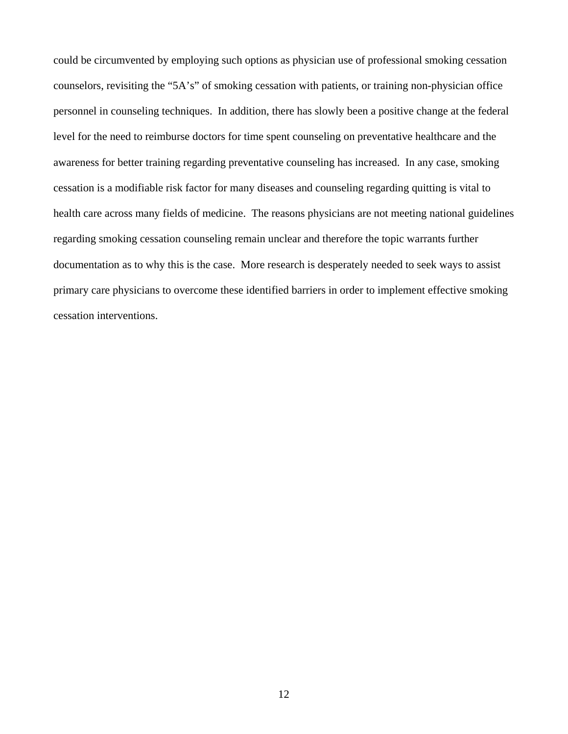could be circumvented by employing such options as physician use of professional smoking cessation counselors, revisiting the "5A's" of smoking cessation with patients, or training non-physician office personnel in counseling techniques. In addition, there has slowly been a positive change at the federal level for the need to reimburse doctors for time spent counseling on preventative healthcare and the awareness for better training regarding preventative counseling has increased. In any case, smoking cessation is a modifiable risk factor for many diseases and counseling regarding quitting is vital to health care across many fields of medicine. The reasons physicians are not meeting national guidelines regarding smoking cessation counseling remain unclear and therefore the topic warrants further documentation as to why this is the case. More research is desperately needed to seek ways to assist primary care physicians to overcome these identified barriers in order to implement effective smoking cessation interventions.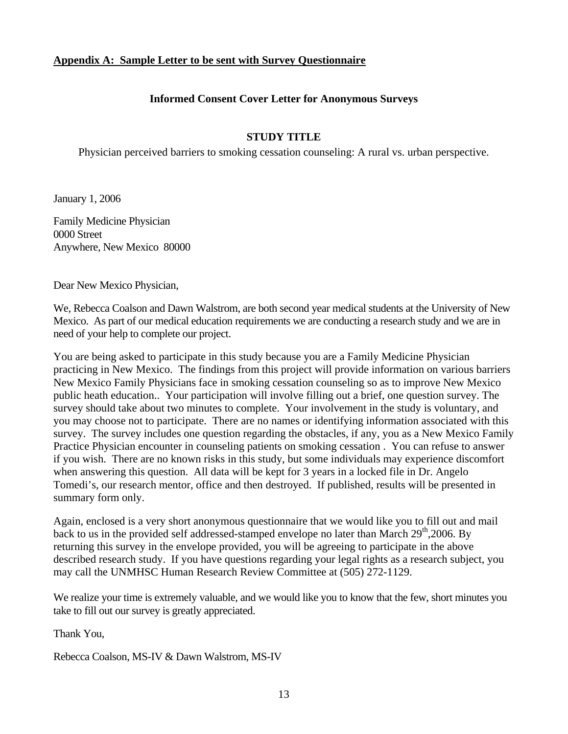## **Appendix A: Sample Letter to be sent with Survey Questionnaire**

## **Informed Consent Cover Letter for Anonymous Surveys**

# **STUDY TITLE**

Physician perceived barriers to smoking cessation counseling: A rural vs. urban perspective.

January 1, 2006

Family Medicine Physician 0000 Street Anywhere, New Mexico 80000

Dear New Mexico Physician,

We, Rebecca Coalson and Dawn Walstrom, are both second year medical students at the University of New Mexico. As part of our medical education requirements we are conducting a research study and we are in need of your help to complete our project.

You are being asked to participate in this study because you are a Family Medicine Physician practicing in New Mexico. The findings from this project will provide information on various barriers New Mexico Family Physicians face in smoking cessation counseling so as to improve New Mexico public heath education.. Your participation will involve filling out a brief, one question survey. The survey should take about two minutes to complete. Your involvement in the study is voluntary, and you may choose not to participate. There are no names or identifying information associated with this survey. The survey includes one question regarding the obstacles, if any, you as a New Mexico Family Practice Physician encounter in counseling patients on smoking cessation . You can refuse to answer if you wish. There are no known risks in this study, but some individuals may experience discomfort when answering this question. All data will be kept for 3 years in a locked file in Dr. Angelo Tomedi's, our research mentor, office and then destroyed. If published, results will be presented in summary form only.

Again, enclosed is a very short anonymous questionnaire that we would like you to fill out and mail back to us in the provided self addressed-stamped envelope no later than March 29<sup>th</sup>,2006. By returning this survey in the envelope provided, you will be agreeing to participate in the above described research study. If you have questions regarding your legal rights as a research subject, you may call the UNMHSC Human Research Review Committee at (505) 272-1129.

We realize your time is extremely valuable, and we would like you to know that the few, short minutes you take to fill out our survey is greatly appreciated.

Thank You,

Rebecca Coalson, MS-IV & Dawn Walstrom, MS-IV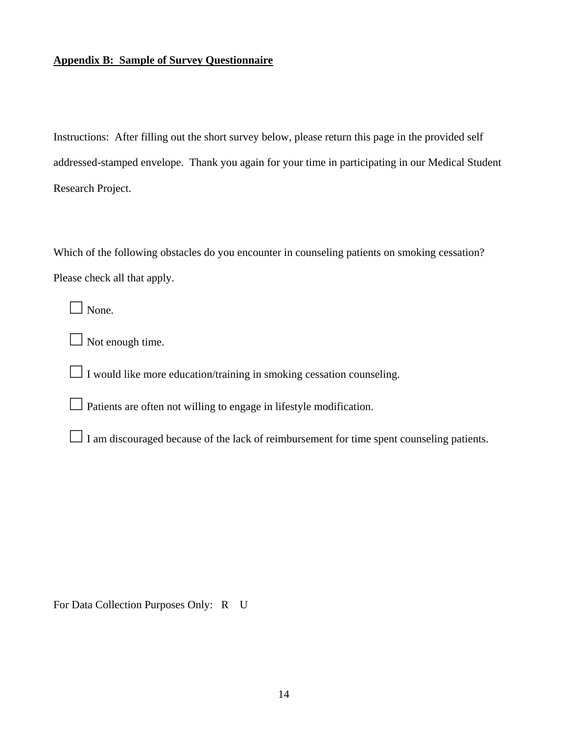# **Appendix B: Sample of Survey Questionnaire**

Instructions: After filling out the short survey below, please return this page in the provided self addressed-stamped envelope. Thank you again for your time in participating in our Medical Student Research Project.

Which of the following obstacles do you encounter in counseling patients on smoking cessation? Please check all that apply.

□ None.

 $\Box$  Not enough time.

 $\Box$  I would like more education/training in smoking cessation counseling.

 $\Box$  Patients are often not willing to engage in lifestyle modification.

□ I am discouraged because of the lack of reimbursement for time spent counseling patients.

For Data Collection Purposes Only: R U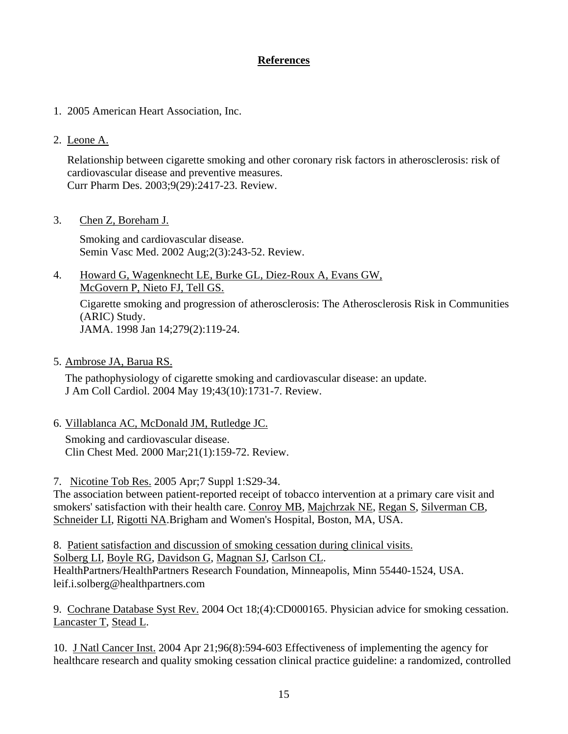# **References**

- 1. 2005 American Heart Association, Inc.
- 2. [Leone A.](http://www.ncbi.nlm.nih.gov/entrez/query.fcgi?cmd=Retrieve&db=pubmed&dopt=Abstract&list_uids=14529556&query_hl=68&itool=pubmed_docsum)

Relationship between cigarette smoking and other coronary risk factors in atherosclerosis: risk of cardiovascular disease and preventive measures. Curr Pharm Des. 2003;9(29):2417-23. Review.

3. [Chen Z, Boreham J.](http://www.ncbi.nlm.nih.gov/entrez/query.fcgi?cmd=Retrieve&db=pubmed&dopt=Abstract&list_uids=16222617&query_hl=68&itool=pubmed_docsum)

Smoking and cardiovascular disease. Semin Vasc Med. 2002 Aug;2(3):243-52. Review.

4. [Howard G, Wagenknecht LE, Burke GL, Diez-Roux A, Evans GW,](http://www.ncbi.nlm.nih.gov/entrez/query.fcgi?cmd=Retrieve&db=pubmed&dopt=Abstract&list_uids=9440661&query_hl=70&itool=pubmed_docsum)  [McGovern P, Nieto FJ, Tell GS.](http://www.ncbi.nlm.nih.gov/entrez/query.fcgi?cmd=Retrieve&db=pubmed&dopt=Abstract&list_uids=9440661&query_hl=70&itool=pubmed_docsum)

Cigarette smoking and progression of atherosclerosis: The Atherosclerosis Risk in Communities (ARIC) Study. JAMA. 1998 Jan 14;279(2):119-24.

5. [Ambrose JA, Barua RS.](http://www.ncbi.nlm.nih.gov/entrez/query.fcgi?cmd=Retrieve&db=pubmed&dopt=Abstract&list_uids=15145091&query_hl=70&itool=pubmed_docsum)

The pathophysiology of cigarette smoking and cardiovascular disease: an update. J Am Coll Cardiol. 2004 May 19;43(10):1731-7. Review.

6. [Villablanca AC, McDonald JM, Rutledge JC.](http://www.ncbi.nlm.nih.gov/entrez/query.fcgi?cmd=Retrieve&db=pubmed&dopt=Abstract&list_uids=10763097&query_hl=70&itool=pubmed_DocSum)

Smoking and cardiovascular disease. Clin Chest Med. 2000 Mar;21(1):159-72. Review.

7. [Nicotine Tob Res.](javascript:AL_get(this,%20) 2005 Apr;7 Suppl 1:S29-34.

The association between patient-reported receipt of tobacco intervention at a primary care visit and smokers' satisfaction with their health care. [Conroy MB,](http://www.ncbi.nlm.nih.gov/entrez/query.fcgi?db=pubmed&cmd=Search&itool=pubmed_Abstract&term=%22Conroy+MB%22%5BAuthor%5D) [Majchrzak NE,](http://www.ncbi.nlm.nih.gov/entrez/query.fcgi?db=pubmed&cmd=Search&itool=pubmed_Abstract&term=%22Majchrzak+NE%22%5BAuthor%5D) [Regan S](http://www.ncbi.nlm.nih.gov/entrez/query.fcgi?db=pubmed&cmd=Search&itool=pubmed_Abstract&term=%22Regan+S%22%5BAuthor%5D), [Silverman CB](http://www.ncbi.nlm.nih.gov/entrez/query.fcgi?db=pubmed&cmd=Search&itool=pubmed_Abstract&term=%22Silverman+CB%22%5BAuthor%5D), [Schneider LI,](http://www.ncbi.nlm.nih.gov/entrez/query.fcgi?db=pubmed&cmd=Search&itool=pubmed_Abstract&term=%22Schneider+LI%22%5BAuthor%5D) [Rigotti NA.](http://www.ncbi.nlm.nih.gov/entrez/query.fcgi?db=pubmed&cmd=Search&itool=pubmed_Abstract&term=%22Rigotti+NA%22%5BAuthor%5D)Brigham and Women's Hospital, Boston, MA, USA.

8. Patient satisfaction and discussion of smoking cessation during clinical visits. [Solberg LI](http://www.ncbi.nlm.nih.gov/entrez/query.fcgi?db=pubmed&cmd=Search&itool=pubmed_Abstract&term=%22Solberg+LI%22%5BAuthor%5D), [Boyle RG,](http://www.ncbi.nlm.nih.gov/entrez/query.fcgi?db=pubmed&cmd=Search&itool=pubmed_Abstract&term=%22Boyle+RG%22%5BAuthor%5D) [Davidson G](http://www.ncbi.nlm.nih.gov/entrez/query.fcgi?db=pubmed&cmd=Search&itool=pubmed_Abstract&term=%22Davidson+G%22%5BAuthor%5D), [Magnan SJ,](http://www.ncbi.nlm.nih.gov/entrez/query.fcgi?db=pubmed&cmd=Search&itool=pubmed_Abstract&term=%22Magnan+SJ%22%5BAuthor%5D) [Carlson CL.](http://www.ncbi.nlm.nih.gov/entrez/query.fcgi?db=pubmed&cmd=Search&itool=pubmed_Abstract&term=%22Carlson+CL%22%5BAuthor%5D) HealthPartners/HealthPartners Research Foundation, Minneapolis, Minn 55440-1524, USA. leif.i.solberg@healthpartners.com

9. [Cochrane Database Syst Rev.](javascript:AL_get(this,%20) 2004 Oct 18;(4):CD000165. Physician advice for smoking cessation. [Lancaster T,](http://www.ncbi.nlm.nih.gov/entrez/query.fcgi?db=pubmed&cmd=Search&itool=pubmed_Abstract&term=%22Lancaster+T%22%5BAuthor%5D) [Stead L.](http://www.ncbi.nlm.nih.gov/entrez/query.fcgi?db=pubmed&cmd=Search&itool=pubmed_Abstract&term=%22Stead+L%22%5BAuthor%5D)

10. [J Natl Cancer Inst.](javascript:AL_get(this,%20) 2004 Apr 21;96(8):594-603 Effectiveness of implementing the agency for healthcare research and quality smoking cessation clinical practice guideline: a randomized, controlled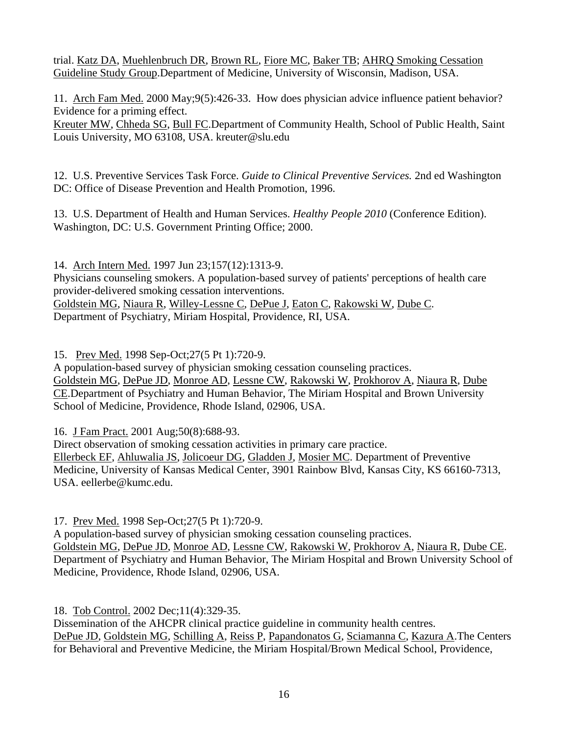trial. [Katz DA,](http://www.ncbi.nlm.nih.gov/entrez/query.fcgi?db=pubmed&cmd=Search&itool=pubmed_Abstract&term=%22Katz+DA%22%5BAuthor%5D) [Muehlenbruch DR,](http://www.ncbi.nlm.nih.gov/entrez/query.fcgi?db=pubmed&cmd=Search&itool=pubmed_Abstract&term=%22Muehlenbruch+DR%22%5BAuthor%5D) [Brown RL,](http://www.ncbi.nlm.nih.gov/entrez/query.fcgi?db=pubmed&cmd=Search&itool=pubmed_Abstract&term=%22Brown+RL%22%5BAuthor%5D) [Fiore MC,](http://www.ncbi.nlm.nih.gov/entrez/query.fcgi?db=pubmed&cmd=Search&itool=pubmed_Abstract&term=%22Fiore+MC%22%5BAuthor%5D) [Baker TB;](http://www.ncbi.nlm.nih.gov/entrez/query.fcgi?db=pubmed&cmd=Search&itool=pubmed_Abstract&term=%22Baker+TB%22%5BAuthor%5D) [AHRQ Smoking Cessation](http://www.ncbi.nlm.nih.gov/entrez/query.fcgi?db=pubmed&cmd=Search&itool=pubmed_Abstract&term=%22AHRQ+Smoking+Cessation+Guideline+Study+Group%22%5BCorporate+Author%5D)  [Guideline Study Group.](http://www.ncbi.nlm.nih.gov/entrez/query.fcgi?db=pubmed&cmd=Search&itool=pubmed_Abstract&term=%22AHRQ+Smoking+Cessation+Guideline+Study+Group%22%5BCorporate+Author%5D)Department of Medicine, University of Wisconsin, Madison, USA.

11. [Arch Fam Med.](javascript:AL_get(this,%20) 2000 May;9(5):426-33. How does physician advice influence patient behavior? Evidence for a priming effect.

[Kreuter MW](http://www.ncbi.nlm.nih.gov/entrez/query.fcgi?db=pubmed&cmd=Search&itool=pubmed_Abstract&term=%22Kreuter+MW%22%5BAuthor%5D), [Chheda SG](http://www.ncbi.nlm.nih.gov/entrez/query.fcgi?db=pubmed&cmd=Search&itool=pubmed_Abstract&term=%22Chheda+SG%22%5BAuthor%5D), [Bull FC.](http://www.ncbi.nlm.nih.gov/entrez/query.fcgi?db=pubmed&cmd=Search&itool=pubmed_Abstract&term=%22Bull+FC%22%5BAuthor%5D)Department of Community Health, School of Public Health, Saint Louis University, MO 63108, USA. kreuter@slu.edu

12. U.S. Preventive Services Task Force. *Guide to Clinical Preventive Services.* 2nd ed Washington DC: Office of Disease Prevention and Health Promotion, 1996.

13. U.S. Department of Health and Human Services. *Healthy People 2010* (Conference Edition). Washington, DC: U.S. Government Printing Office; 2000.

14. [Arch Intern Med.](javascript:AL_get(this,%20) 1997 Jun 23;157(12):1313-9.

Physicians counseling smokers. A population-based survey of patients' perceptions of health care provider-delivered smoking cessation interventions. [Goldstein MG,](http://www.ncbi.nlm.nih.gov/entrez/query.fcgi?db=pubmed&cmd=Search&itool=pubmed_Abstract&term=%22Goldstein+MG%22%5BAuthor%5D) [Niaura R](http://www.ncbi.nlm.nih.gov/entrez/query.fcgi?db=pubmed&cmd=Search&itool=pubmed_Abstract&term=%22Niaura+R%22%5BAuthor%5D), [Willey-Lessne C](http://www.ncbi.nlm.nih.gov/entrez/query.fcgi?db=pubmed&cmd=Search&itool=pubmed_Abstract&term=%22Willey%2DLessne+C%22%5BAuthor%5D), [DePue J,](http://www.ncbi.nlm.nih.gov/entrez/query.fcgi?db=pubmed&cmd=Search&itool=pubmed_Abstract&term=%22DePue+J%22%5BAuthor%5D) [Eaton C,](http://www.ncbi.nlm.nih.gov/entrez/query.fcgi?db=pubmed&cmd=Search&itool=pubmed_Abstract&term=%22Eaton+C%22%5BAuthor%5D) [Rakowski W](http://www.ncbi.nlm.nih.gov/entrez/query.fcgi?db=pubmed&cmd=Search&itool=pubmed_Abstract&term=%22Rakowski+W%22%5BAuthor%5D), [Dube C](http://www.ncbi.nlm.nih.gov/entrez/query.fcgi?db=pubmed&cmd=Search&itool=pubmed_Abstract&term=%22Dube+C%22%5BAuthor%5D). Department of Psychiatry, Miriam Hospital, Providence, RI, USA.

15. [Prev Med.](javascript:AL_get(this,%20) 1998 Sep-Oct;27(5 Pt 1):720-9.

A population-based survey of physician smoking cessation counseling practices. [Goldstein MG,](http://www.ncbi.nlm.nih.gov/entrez/query.fcgi?db=pubmed&cmd=Search&itool=pubmed_Abstract&term=%22Goldstein+MG%22%5BAuthor%5D) [DePue JD,](http://www.ncbi.nlm.nih.gov/entrez/query.fcgi?db=pubmed&cmd=Search&itool=pubmed_Abstract&term=%22DePue+JD%22%5BAuthor%5D) [Monroe AD](http://www.ncbi.nlm.nih.gov/entrez/query.fcgi?db=pubmed&cmd=Search&itool=pubmed_Abstract&term=%22Monroe+AD%22%5BAuthor%5D), [Lessne CW,](http://www.ncbi.nlm.nih.gov/entrez/query.fcgi?db=pubmed&cmd=Search&itool=pubmed_Abstract&term=%22Lessne+CW%22%5BAuthor%5D) [Rakowski W](http://www.ncbi.nlm.nih.gov/entrez/query.fcgi?db=pubmed&cmd=Search&itool=pubmed_Abstract&term=%22Rakowski+W%22%5BAuthor%5D), [Prokhorov A,](http://www.ncbi.nlm.nih.gov/entrez/query.fcgi?db=pubmed&cmd=Search&itool=pubmed_Abstract&term=%22Prokhorov+A%22%5BAuthor%5D) [Niaura R](http://www.ncbi.nlm.nih.gov/entrez/query.fcgi?db=pubmed&cmd=Search&itool=pubmed_Abstract&term=%22Niaura+R%22%5BAuthor%5D), [Dube](http://www.ncbi.nlm.nih.gov/entrez/query.fcgi?db=pubmed&cmd=Search&itool=pubmed_Abstract&term=%22Dube+CE%22%5BAuthor%5D)  [CE.](http://www.ncbi.nlm.nih.gov/entrez/query.fcgi?db=pubmed&cmd=Search&itool=pubmed_Abstract&term=%22Dube+CE%22%5BAuthor%5D)Department of Psychiatry and Human Behavior, The Miriam Hospital and Brown University School of Medicine, Providence, Rhode Island, 02906, USA.

16. [J Fam Pract.](javascript:AL_get(this,%20) 2001 Aug;50(8):688-93.

Direct observation of smoking cessation activities in primary care practice. [Ellerbeck EF,](http://www.ncbi.nlm.nih.gov/entrez/query.fcgi?db=pubmed&cmd=Search&itool=pubmed_Abstract&term=%22Ellerbeck+EF%22%5BAuthor%5D) [Ahluwalia JS,](http://www.ncbi.nlm.nih.gov/entrez/query.fcgi?db=pubmed&cmd=Search&itool=pubmed_Abstract&term=%22Ahluwalia+JS%22%5BAuthor%5D) [Jolicoeur DG](http://www.ncbi.nlm.nih.gov/entrez/query.fcgi?db=pubmed&cmd=Search&itool=pubmed_Abstract&term=%22Jolicoeur+DG%22%5BAuthor%5D), [Gladden J,](http://www.ncbi.nlm.nih.gov/entrez/query.fcgi?db=pubmed&cmd=Search&itool=pubmed_Abstract&term=%22Gladden+J%22%5BAuthor%5D) [Mosier MC](http://www.ncbi.nlm.nih.gov/entrez/query.fcgi?db=pubmed&cmd=Search&itool=pubmed_Abstract&term=%22Mosier+MC%22%5BAuthor%5D). Department of Preventive Medicine, University of Kansas Medical Center, 3901 Rainbow Blvd, Kansas City, KS 66160-7313, USA. eellerbe@kumc.edu.

17. [Prev Med.](javascript:AL_get(this,%20) 1998 Sep-Oct;27(5 Pt 1):720-9.

A population-based survey of physician smoking cessation counseling practices. [Goldstein MG,](http://www.ncbi.nlm.nih.gov/entrez/query.fcgi?db=pubmed&cmd=Search&itool=pubmed_Abstract&term=%22Goldstein+MG%22%5BAuthor%5D) [DePue JD,](http://www.ncbi.nlm.nih.gov/entrez/query.fcgi?db=pubmed&cmd=Search&itool=pubmed_Abstract&term=%22DePue+JD%22%5BAuthor%5D) [Monroe AD](http://www.ncbi.nlm.nih.gov/entrez/query.fcgi?db=pubmed&cmd=Search&itool=pubmed_Abstract&term=%22Monroe+AD%22%5BAuthor%5D), [Lessne CW,](http://www.ncbi.nlm.nih.gov/entrez/query.fcgi?db=pubmed&cmd=Search&itool=pubmed_Abstract&term=%22Lessne+CW%22%5BAuthor%5D) [Rakowski W](http://www.ncbi.nlm.nih.gov/entrez/query.fcgi?db=pubmed&cmd=Search&itool=pubmed_Abstract&term=%22Rakowski+W%22%5BAuthor%5D), [Prokhorov A,](http://www.ncbi.nlm.nih.gov/entrez/query.fcgi?db=pubmed&cmd=Search&itool=pubmed_Abstract&term=%22Prokhorov+A%22%5BAuthor%5D) [Niaura R](http://www.ncbi.nlm.nih.gov/entrez/query.fcgi?db=pubmed&cmd=Search&itool=pubmed_Abstract&term=%22Niaura+R%22%5BAuthor%5D), [Dube CE.](http://www.ncbi.nlm.nih.gov/entrez/query.fcgi?db=pubmed&cmd=Search&itool=pubmed_Abstract&term=%22Dube+CE%22%5BAuthor%5D) Department of Psychiatry and Human Behavior, The Miriam Hospital and Brown University School of Medicine, Providence, Rhode Island, 02906, USA.

18. [Tob Control.](javascript:AL_get(this,%20) 2002 Dec;11(4):329-35.

Dissemination of the AHCPR clinical practice guideline in community health centres. [DePue JD,](http://www.ncbi.nlm.nih.gov/entrez/query.fcgi?db=pubmed&cmd=Search&itool=pubmed_Abstract&term=%22DePue+JD%22%5BAuthor%5D) [Goldstein MG,](http://www.ncbi.nlm.nih.gov/entrez/query.fcgi?db=pubmed&cmd=Search&itool=pubmed_Abstract&term=%22Goldstein+MG%22%5BAuthor%5D) [Schilling A,](http://www.ncbi.nlm.nih.gov/entrez/query.fcgi?db=pubmed&cmd=Search&itool=pubmed_Abstract&term=%22Schilling+A%22%5BAuthor%5D) [Reiss P,](http://www.ncbi.nlm.nih.gov/entrez/query.fcgi?db=pubmed&cmd=Search&itool=pubmed_Abstract&term=%22Reiss+P%22%5BAuthor%5D) [Papandonatos G,](http://www.ncbi.nlm.nih.gov/entrez/query.fcgi?db=pubmed&cmd=Search&itool=pubmed_Abstract&term=%22Papandonatos+G%22%5BAuthor%5D) [Sciamanna C,](http://www.ncbi.nlm.nih.gov/entrez/query.fcgi?db=pubmed&cmd=Search&itool=pubmed_Abstract&term=%22Sciamanna+C%22%5BAuthor%5D) [Kazura A.](http://www.ncbi.nlm.nih.gov/entrez/query.fcgi?db=pubmed&cmd=Search&itool=pubmed_Abstract&term=%22Kazura+A%22%5BAuthor%5D) The Centers for Behavioral and Preventive Medicine, the Miriam Hospital/Brown Medical School, Providence,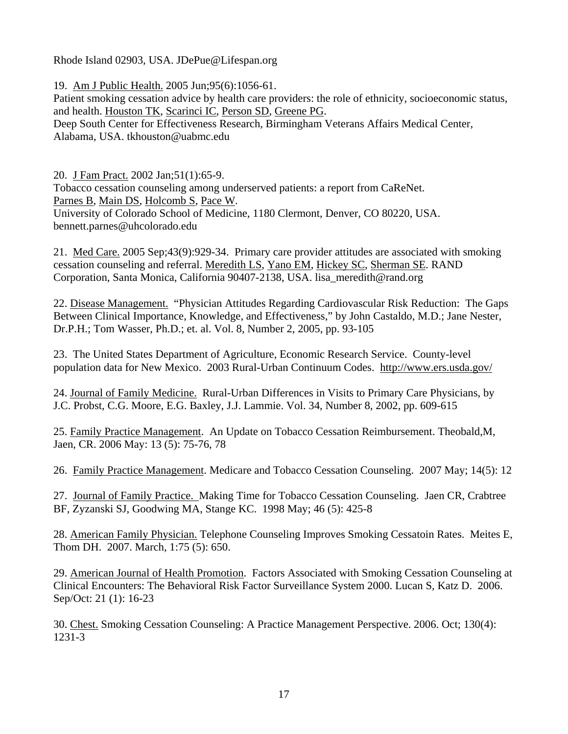Rhode Island 02903, USA. JDePue@Lifespan.org

19. [Am J Public Health.](javascript:AL_get(this,%20) 2005 Jun;95(6):1056-61.

Patient smoking cessation advice by health care providers: the role of ethnicity, socioeconomic status, and health. [Houston TK,](http://www.ncbi.nlm.nih.gov/entrez/query.fcgi?db=pubmed&cmd=Search&itool=pubmed_Abstract&term=%22Houston+TK%22%5BAuthor%5D) [Scarinci IC](http://www.ncbi.nlm.nih.gov/entrez/query.fcgi?db=pubmed&cmd=Search&itool=pubmed_Abstract&term=%22Scarinci+IC%22%5BAuthor%5D), [Person SD](http://www.ncbi.nlm.nih.gov/entrez/query.fcgi?db=pubmed&cmd=Search&itool=pubmed_Abstract&term=%22Person+SD%22%5BAuthor%5D), [Greene PG](http://www.ncbi.nlm.nih.gov/entrez/query.fcgi?db=pubmed&cmd=Search&itool=pubmed_Abstract&term=%22Greene+PG%22%5BAuthor%5D).

Deep South Center for Effectiveness Research, Birmingham Veterans Affairs Medical Center, Alabama, USA. tkhouston@uabmc.edu

20. [J Fam Pract.](javascript:AL_get(this,%20) 2002 Jan;51(1):65-9.

Tobacco cessation counseling among underserved patients: a report from CaReNet. [Parnes B,](http://www.ncbi.nlm.nih.gov/entrez/query.fcgi?db=pubmed&cmd=Search&itool=pubmed_Abstract&term=%22Parnes+B%22%5BAuthor%5D) [Main DS](http://www.ncbi.nlm.nih.gov/entrez/query.fcgi?db=pubmed&cmd=Search&itool=pubmed_Abstract&term=%22Main+DS%22%5BAuthor%5D), [Holcomb S,](http://www.ncbi.nlm.nih.gov/entrez/query.fcgi?db=pubmed&cmd=Search&itool=pubmed_Abstract&term=%22Holcomb+S%22%5BAuthor%5D) [Pace W.](http://www.ncbi.nlm.nih.gov/entrez/query.fcgi?db=pubmed&cmd=Search&itool=pubmed_Abstract&term=%22Pace+W%22%5BAuthor%5D) University of Colorado School of Medicine, 1180 Clermont, Denver, CO 80220, USA. bennett.parnes@uhcolorado.edu

21. [Med Care.](javascript:AL_get(this,%20) 2005 Sep;43(9):929-34. Primary care provider attitudes are associated with smoking cessation counseling and referral. [Meredith LS](http://www.ncbi.nlm.nih.gov/entrez/query.fcgi?db=pubmed&cmd=Search&itool=pubmed_Abstract&term=%22Meredith+LS%22%5BAuthor%5D), [Yano EM](http://www.ncbi.nlm.nih.gov/entrez/query.fcgi?db=pubmed&cmd=Search&itool=pubmed_Abstract&term=%22Yano+EM%22%5BAuthor%5D), [Hickey SC](http://www.ncbi.nlm.nih.gov/entrez/query.fcgi?db=pubmed&cmd=Search&itool=pubmed_Abstract&term=%22Hickey+SC%22%5BAuthor%5D), [Sherman SE](http://www.ncbi.nlm.nih.gov/entrez/query.fcgi?db=pubmed&cmd=Search&itool=pubmed_Abstract&term=%22Sherman+SE%22%5BAuthor%5D). RAND Corporation, Santa Monica, California 90407-2138, USA. lisa\_meredith@rand.org

22. Disease Management. "Physician Attitudes Regarding Cardiovascular Risk Reduction: The Gaps Between Clinical Importance, Knowledge, and Effectiveness," by John Castaldo, M.D.; Jane Nester, Dr.P.H.; Tom Wasser, Ph.D.; et. al. Vol. 8, Number 2, 2005, pp. 93-105

23. The United States Department of Agriculture, Economic Research Service. County-level population data for New Mexico. 2003 Rural-Urban Continuum Codes. <http://www.ers.usda.gov/>

24. Journal of Family Medicine. Rural-Urban Differences in Visits to Primary Care Physicians, by J.C. Probst, C.G. Moore, E.G. Baxley, J.J. Lammie. Vol. 34, Number 8, 2002, pp. 609-615

25. Family Practice Management. An Update on Tobacco Cessation Reimbursement. Theobald,M, Jaen, CR. 2006 May: 13 (5): 75-76, 78

26. Family Practice Management. Medicare and Tobacco Cessation Counseling. 2007 May; 14(5): 12

27. Journal of Family Practice. Making Time for Tobacco Cessation Counseling. Jaen CR, Crabtree BF, Zyzanski SJ, Goodwing MA, Stange KC. 1998 May; 46 (5): 425-8

28. American Family Physician. Telephone Counseling Improves Smoking Cessatoin Rates. Meites E, Thom DH. 2007. March, 1:75 (5): 650.

29. American Journal of Health Promotion. Factors Associated with Smoking Cessation Counseling at Clinical Encounters: The Behavioral Risk Factor Surveillance System 2000. Lucan S, Katz D. 2006. Sep/Oct: 21 (1): 16-23

30. Chest. Smoking Cessation Counseling: A Practice Management Perspective. 2006. Oct; 130(4): 1231-3